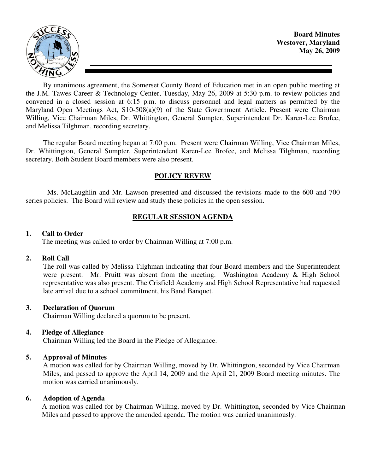

By unanimous agreement, the Somerset County Board of Education met in an open public meeting at the J.M. Tawes Career & Technology Center, Tuesday, May 26, 2009 at 5:30 p.m. to review policies and convened in a closed session at 6:15 p.m. to discuss personnel and legal matters as permitted by the Maryland Open Meetings Act, S10-508(a)(9) of the State Government Article. Present were Chairman Willing, Vice Chairman Miles, Dr. Whittington, General Sumpter, Superintendent Dr. Karen-Lee Brofee, and Melissa Tilghman, recording secretary.

The regular Board meeting began at 7:00 p.m. Present were Chairman Willing, Vice Chairman Miles, Dr. Whittington, General Sumpter, Superintendent Karen-Lee Brofee, and Melissa Tilghman, recording secretary. Both Student Board members were also present.

### **POLICY REVEW**

 Ms. McLaughlin and Mr. Lawson presented and discussed the revisions made to the 600 and 700 series policies. The Board will review and study these policies in the open session.

# **REGULAR SESSION AGENDA**

### **1. Call to Order**

The meeting was called to order by Chairman Willing at 7:00 p.m.

### **2. Roll Call**

The roll was called by Melissa Tilghman indicating that four Board members and the Superintendent were present. Mr. Pruitt was absent from the meeting. Washington Academy & High School representative was also present. The Crisfield Academy and High School Representative had requested late arrival due to a school commitment, his Band Banquet.

### **3. Declaration of Quorum**

Chairman Willing declared a quorum to be present.

### **4. Pledge of Allegiance**

Chairman Willing led the Board in the Pledge of Allegiance.

### **5. Approval of Minutes**

 A motion was called for by Chairman Willing, moved by Dr. Whittington, seconded by Vice Chairman Miles, and passed to approve the April 14, 2009 and the April 21, 2009 Board meeting minutes. The motion was carried unanimously.

### **6. Adoption of Agenda**

 A motion was called for by Chairman Willing, moved by Dr. Whittington, seconded by Vice Chairman Miles and passed to approve the amended agenda. The motion was carried unanimously.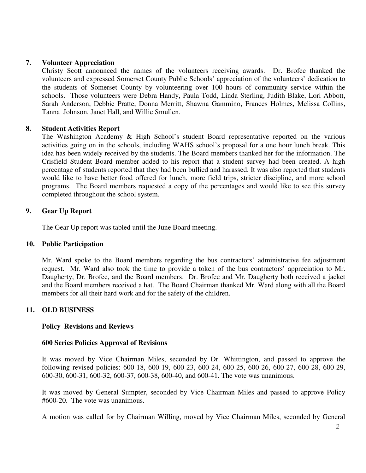# **7. Volunteer Appreciation**

Christy Scott announced the names of the volunteers receiving awards. Dr. Brofee thanked the volunteers and expressed Somerset County Public Schools' appreciation of the volunteers' dedication to the students of Somerset County by volunteering over 100 hours of community service within the schools. Those volunteers were Debra Handy, Paula Todd, Linda Sterling, Judith Blake, Lori Abbott, Sarah Anderson, Debbie Pratte, Donna Merritt, Shawna Gammino, Frances Holmes, Melissa Collins, Tanna Johnson, Janet Hall, and Willie Smullen.

# **8. Student Activities Report**

The Washington Academy & High School's student Board representative reported on the various activities going on in the schools, including WAHS school's proposal for a one hour lunch break. This idea has been widely received by the students. The Board members thanked her for the information. The Crisfield Student Board member added to his report that a student survey had been created. A high percentage of students reported that they had been bullied and harassed. It was also reported that students would like to have better food offered for lunch, more field trips, stricter discipline, and more school programs. The Board members requested a copy of the percentages and would like to see this survey completed throughout the school system.

# **9. Gear Up Report**

The Gear Up report was tabled until the June Board meeting.

### **10. Public Participation**

Mr. Ward spoke to the Board members regarding the bus contractors' administrative fee adjustment request. Mr. Ward also took the time to provide a token of the bus contractors' appreciation to Mr. Daugherty, Dr. Brofee, and the Board members. Dr. Brofee and Mr. Daugherty both received a jacket and the Board members received a hat. The Board Chairman thanked Mr. Ward along with all the Board members for all their hard work and for the safety of the children.

# **11. OLD BUSINESS**

### **Policy Revisions and Reviews**

### **600 Series Policies Approval of Revisions**

 It was moved by Vice Chairman Miles, seconded by Dr. Whittington, and passed to approve the following revised policies: 600-18, 600-19, 600-23, 600-24, 600-25, 600-26, 600-27, 600-28, 600-29, 600-30, 600-31, 600-32, 600-37, 600-38, 600-40, and 600-41. The vote was unanimous.

 It was moved by General Sumpter, seconded by Vice Chairman Miles and passed to approve Policy #600-20. The vote was unanimous.

A motion was called for by Chairman Willing, moved by Vice Chairman Miles, seconded by General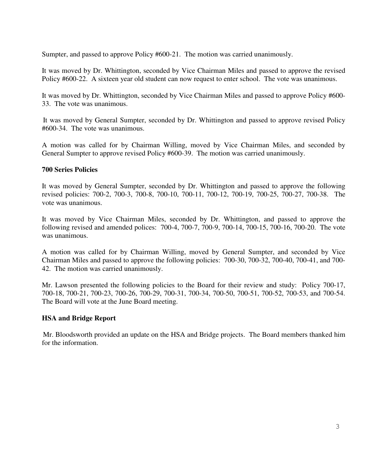Sumpter, and passed to approve Policy #600-21. The motion was carried unanimously.

 It was moved by Dr. Whittington, seconded by Vice Chairman Miles and passed to approve the revised Policy #600-22. A sixteen year old student can now request to enter school. The vote was unanimous.

It was moved by Dr. Whittington, seconded by Vice Chairman Miles and passed to approve Policy #600- 33. The vote was unanimous.

 It was moved by General Sumpter, seconded by Dr. Whittington and passed to approve revised Policy #600-34. The vote was unanimous.

A motion was called for by Chairman Willing, moved by Vice Chairman Miles, and seconded by General Sumpter to approve revised Policy #600-39. The motion was carried unanimously.

# **700 Series Policies**

It was moved by General Sumpter, seconded by Dr. Whittington and passed to approve the following revised policies: 700-2, 700-3, 700-8, 700-10, 700-11, 700-12, 700-19, 700-25, 700-27, 700-38. The vote was unanimous.

It was moved by Vice Chairman Miles, seconded by Dr. Whittington, and passed to approve the following revised and amended polices: 700-4, 700-7, 700-9, 700-14, 700-15, 700-16, 700-20. The vote was unanimous.

A motion was called for by Chairman Willing, moved by General Sumpter, and seconded by Vice Chairman Miles and passed to approve the following policies: 700-30, 700-32, 700-40, 700-41, and 700- 42. The motion was carried unanimously.

Mr. Lawson presented the following policies to the Board for their review and study: Policy 700-17, 700-18, 700-21, 700-23, 700-26, 700-29, 700-31, 700-34, 700-50, 700-51, 700-52, 700-53, and 700-54. The Board will vote at the June Board meeting.

# **HSA and Bridge Report**

 Mr. Bloodsworth provided an update on the HSA and Bridge projects. The Board members thanked him for the information.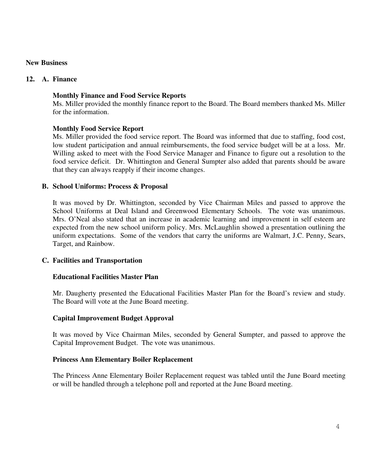## **New Business**

### **12. A. Finance**

### **Monthly Finance and Food Service Reports**

Ms. Miller provided the monthly finance report to the Board. The Board members thanked Ms. Miller for the information.

#### **Monthly Food Service Report**

Ms. Miller provided the food service report. The Board was informed that due to staffing, food cost, low student participation and annual reimbursements, the food service budget will be at a loss. Mr. Willing asked to meet with the Food Service Manager and Finance to figure out a resolution to the food service deficit. Dr. Whittington and General Sumpter also added that parents should be aware that they can always reapply if their income changes.

#### **B. School Uniforms: Process & Proposal**

It was moved by Dr. Whittington, seconded by Vice Chairman Miles and passed to approve the School Uniforms at Deal Island and Greenwood Elementary Schools. The vote was unanimous. Mrs. O'Neal also stated that an increase in academic learning and improvement in self esteem are expected from the new school uniform policy. Mrs. McLaughlin showed a presentation outlining the uniform expectations. Some of the vendors that carry the uniforms are Walmart, J.C. Penny, Sears, Target, and Rainbow.

#### **C. Facilities and Transportation**

#### **Educational Facilities Master Plan**

Mr. Daugherty presented the Educational Facilities Master Plan for the Board's review and study. The Board will vote at the June Board meeting.

#### **Capital Improvement Budget Approval**

It was moved by Vice Chairman Miles, seconded by General Sumpter, and passed to approve the Capital Improvement Budget. The vote was unanimous.

### **Princess Ann Elementary Boiler Replacement**

The Princess Anne Elementary Boiler Replacement request was tabled until the June Board meeting or will be handled through a telephone poll and reported at the June Board meeting.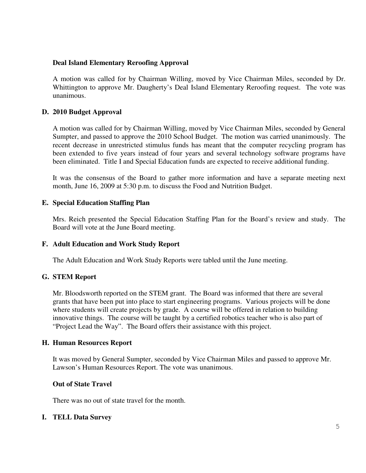# **Deal Island Elementary Reroofing Approval**

A motion was called for by Chairman Willing, moved by Vice Chairman Miles, seconded by Dr. Whittington to approve Mr. Daugherty's Deal Island Elementary Reroofing request. The vote was unanimous.

# **D. 2010 Budget Approval**

A motion was called for by Chairman Willing, moved by Vice Chairman Miles, seconded by General Sumpter, and passed to approve the 2010 School Budget. The motion was carried unanimously. The recent decrease in unrestricted stimulus funds has meant that the computer recycling program has been extended to five years instead of four years and several technology software programs have been eliminated. Title I and Special Education funds are expected to receive additional funding.

It was the consensus of the Board to gather more information and have a separate meeting next month, June 16, 2009 at 5:30 p.m. to discuss the Food and Nutrition Budget.

### **E. Special Education Staffing Plan**

Mrs. Reich presented the Special Education Staffing Plan for the Board's review and study. The Board will vote at the June Board meeting.

### **F. Adult Education and Work Study Report**

The Adult Education and Work Study Reports were tabled until the June meeting.

### **G. STEM Report**

Mr. Bloodsworth reported on the STEM grant. The Board was informed that there are several grants that have been put into place to start engineering programs. Various projects will be done where students will create projects by grade. A course will be offered in relation to building innovative things. The course will be taught by a certified robotics teacher who is also part of "Project Lead the Way". The Board offers their assistance with this project.

### **H. Human Resources Report**

It was moved by General Sumpter, seconded by Vice Chairman Miles and passed to approve Mr. Lawson's Human Resources Report. The vote was unanimous.

### **Out of State Travel**

There was no out of state travel for the month.

### **I. TELL Data Survey**